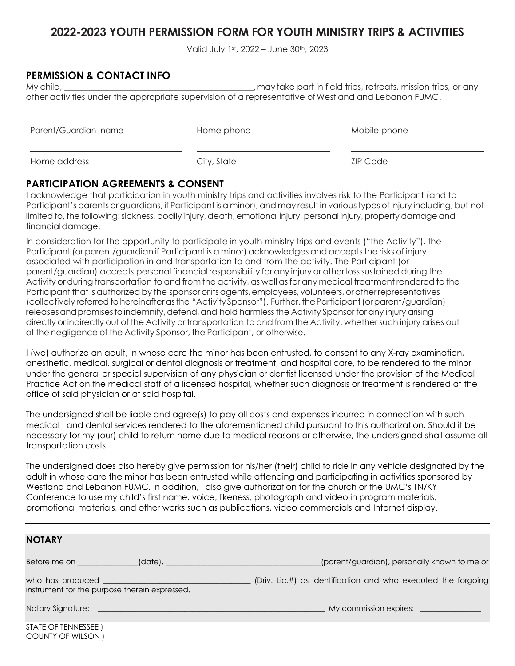## **2022-2023 YOUTH PERMISSION FORM FOR YOUTH MINISTRY TRIPS & ACTIVITIES**

Valid July 1st, 2022 – June 30th, 2023

## **PERMISSION & CONTACT INFO**

COUNTY OF WILSON )

My child, the child state of the child trips, retreats, mission trips, or any may take part in field trips, retreats, mission trips, or any other activities under the appropriate supervision of a representative of Westland and Lebanon FUMC.

| Parent/Guardian name | Home phone  | Mobile phone    |
|----------------------|-------------|-----------------|
| Home address         | City, State | <b>ZIP Code</b> |

## **PARTICIPATION AGREEMENTS & CONSENT**

I acknowledge that participation in youth ministry trips and activities involves risk to the Participant (and to Participant's parents or guardians, if Participant is a minor), and may result in various types of injury including, but not limited to, the following: sickness, bodily injury, death, emotional injury, personal injury, property damage and financialdamage.

In consideration for the opportunity to participate in youth ministry trips and events ("the Activity"), the Participant (or parent/guardian if Participant is a minor) acknowledges and acceptsthe risks of injury associated with participation in and transportation to and from the activity. The Participant (or parent/guardian) accepts personal financial responsibility for any injury or other losssustained during the Activity or during transportation to and from the activity, as well asfor any medical treatment rendered to the Participant that is authorized by the sponsor or its agents, employees, volunteers, or other representatives (collectively referred to hereinafter as the "Activity Sponsor"). Further, the Participant (or parent/guardian) releases and promises to indemnify, defend, and hold harmless the Activity Sponsor for any injury arising directly or indirectly out of the Activity or transportation to and from the Activity, whether such injury arises out of the negligence of the Activity Sponsor, the Participant, or otherwise.

I (we) authorize an adult, in whose care the minor has been entrusted, to consent to any X-ray examination, anesthetic, medical, surgical or dental diagnosis or treatment, and hospital care, to be rendered to the minor under the general or special supervision of any physician or dentist licensed under the provision of the Medical Practice Act on the medical staff of a licensed hospital, whether such diagnosis or treatment is rendered at the office of said physician or at said hospital.

The undersigned shall be liable and agree(s) to pay all costs and expenses incurred in connection with such medical and dental services rendered to the aforementioned child pursuant to this authorization. Should it be necessary for my (our) child to return home due to medical reasons or otherwise, the undersigned shall assume all transportation costs.

The undersigned does also hereby give permission for his/her (their) child to ride in any vehicle designated by the adult in whose care the minor has been entrusted while attending and participating in activities sponsored by Westland and Lebanon FUMC. In addition, I also give authorization for the church or the UMC's TN/KY Conference to use my child's first name, voice, likeness, photograph and video in program materials, promotional materials, and other works such as publications, video commercials and Internet display.

| <b>NOTARY</b>                                 |                                                               |
|-----------------------------------------------|---------------------------------------------------------------|
| Before me on                                  | (parent/guardian), personally known to me or                  |
| instrument for the purpose therein expressed. | (Driv. Lic.#) as identification and who executed the forgoing |
|                                               | My commission expires:                                        |
| STATE OF TENNESSEE)                           |                                                               |